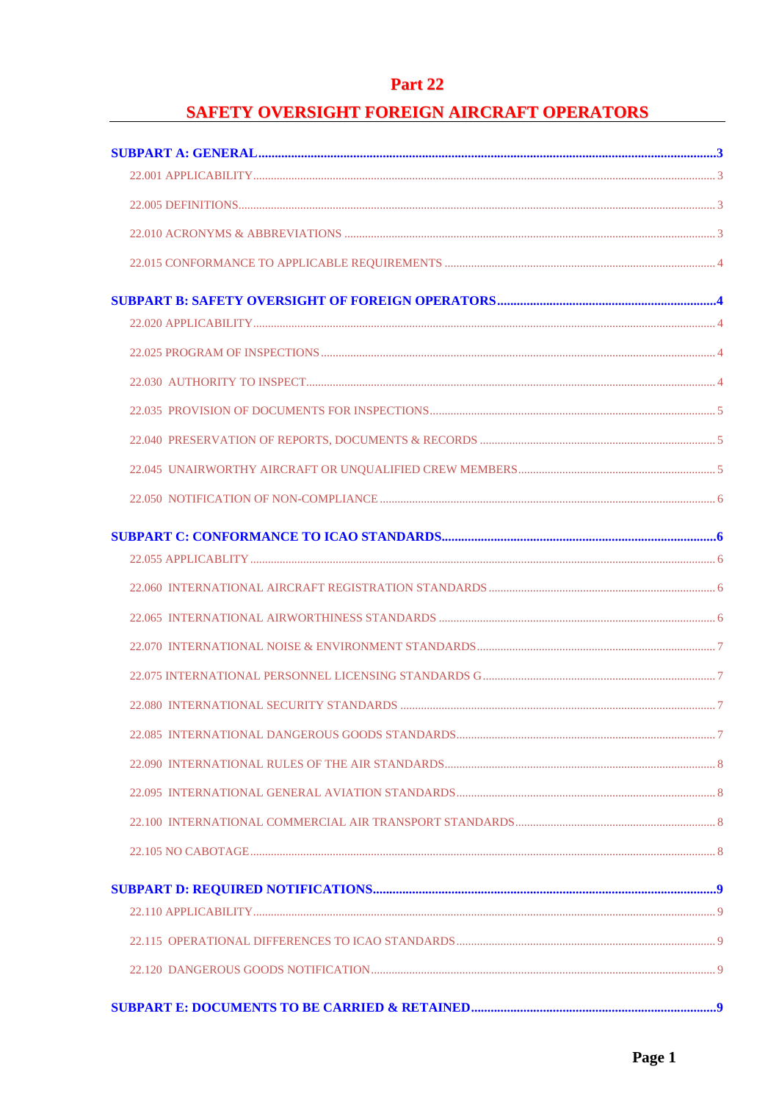# **Part 22**

# **SAFETY OVERSIGHT FOREIGN AIRCRAFT OPERATORS**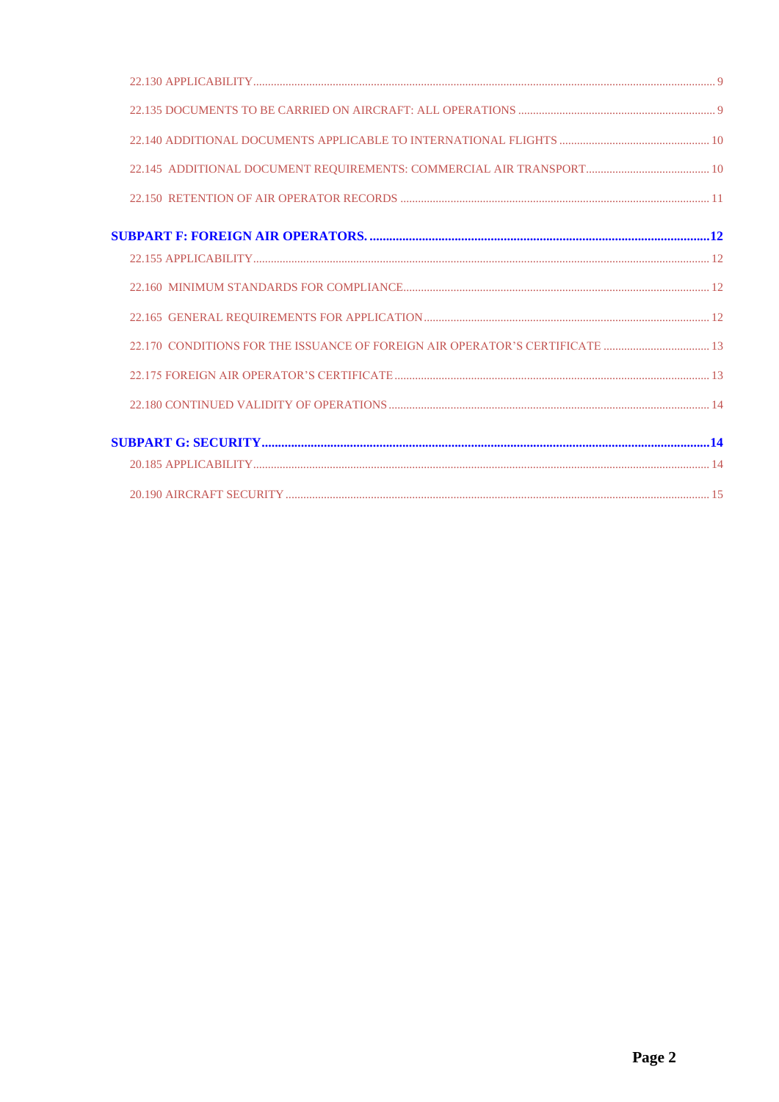| 22.170 CONDITIONS FOR THE ISSUANCE OF FOREIGN AIR OPERATOR'S CERTIFICATE  13 |  |
|------------------------------------------------------------------------------|--|
|                                                                              |  |
|                                                                              |  |
|                                                                              |  |
|                                                                              |  |
|                                                                              |  |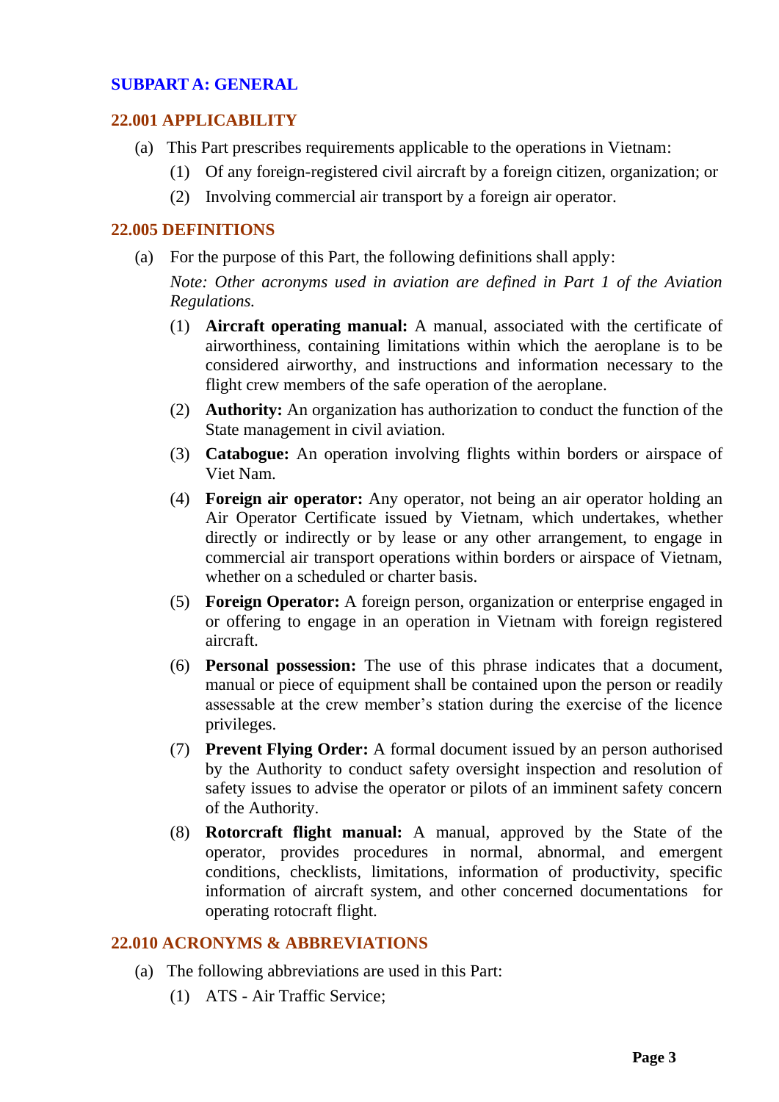# <span id="page-2-0"></span>**SUBPART A: GENERAL**

# <span id="page-2-1"></span>**22.001 APPLICABILITY**

- (a) This Part prescribes requirements applicable to the operations in Vietnam:
	- (1) Of any foreign-registered civil aircraft by a foreign citizen, organization; or
	- (2) Involving commercial air transport by a foreign air operator.

### <span id="page-2-2"></span>**22.005 DEFINITIONS**

(a) For the purpose of this Part, the following definitions shall apply:

*Note: Other acronyms used in aviation are defined in Part 1 of the Aviation Regulations.* 

- (1) **Aircraft operating manual:** A manual, associated with the certificate of airworthiness, containing limitations within which the aeroplane is to be considered airworthy, and instructions and information necessary to the flight crew members of the safe operation of the aeroplane.
- (2) **Authority:** An organization has authorization to conduct the function of the State management in civil aviation.
- (3) **Catabogue:** An operation involving flights within borders or airspace of Viet Nam.
- (4) **Foreign air operator:** Any operator, not being an air operator holding an Air Operator Certificate issued by Vietnam, which undertakes, whether directly or indirectly or by lease or any other arrangement, to engage in commercial air transport operations within borders or airspace of Vietnam, whether on a scheduled or charter basis.
- (5) **Foreign Operator:** A foreign person, organization or enterprise engaged in or offering to engage in an operation in Vietnam with foreign registered aircraft.
- (6) **Personal possession:** The use of this phrase indicates that a document, manual or piece of equipment shall be contained upon the person or readily assessable at the crew member's station during the exercise of the licence privileges.
- (7) **Prevent Flying Order:** A formal document issued by an person authorised by the Authority to conduct safety oversight inspection and resolution of safety issues to advise the operator or pilots of an imminent safety concern of the Authority.
- (8) **Rotorcraft flight manual:** A manual, approved by the State of the operator, provides procedures in normal, abnormal, and emergent conditions, checklists, limitations, information of productivity, specific information of aircraft system, and other concerned documentations for operating rotocraft flight.

### <span id="page-2-3"></span>**22.010 ACRONYMS & ABBREVIATIONS**

- (a) The following abbreviations are used in this Part:
	- (1) ATS Air Traffic Service;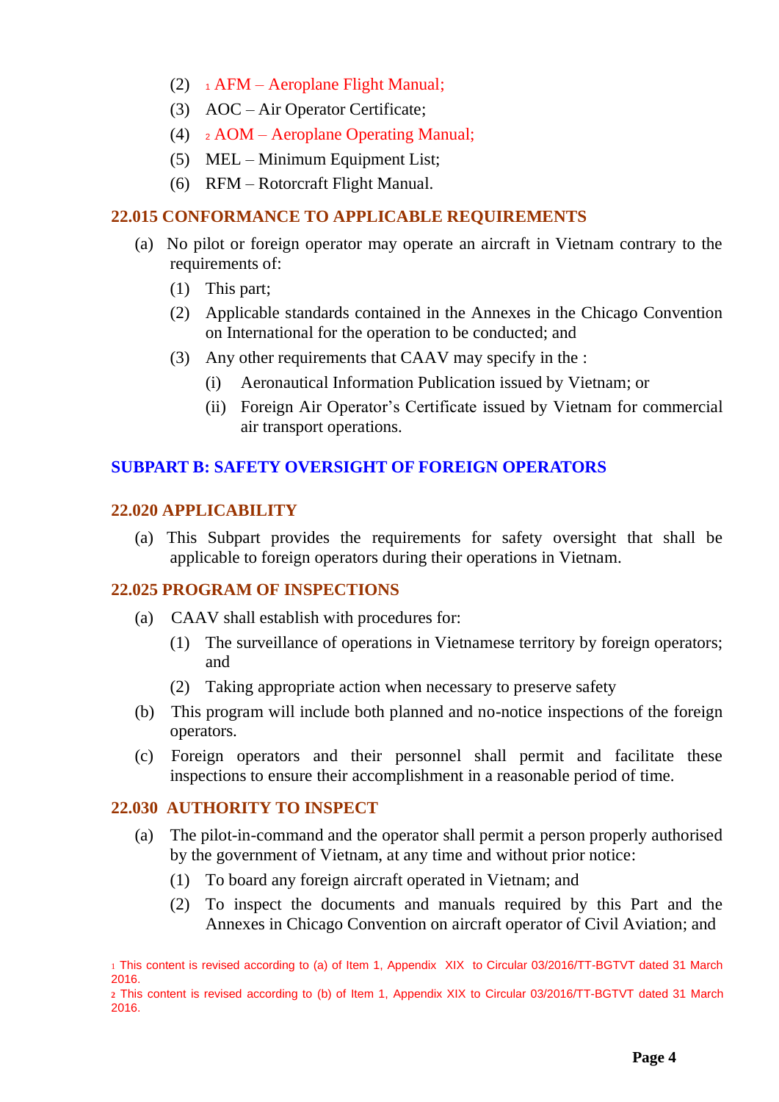- (2)  $\rightarrow$  AFM Aeroplane Flight Manual;
- (3) AOC Air Operator Certificate;
- (4) <sup>2</sup> AOM Aeroplane Operating Manual;
- (5) MEL Minimum Equipment List;
- (6) RFM Rotorcraft Flight Manual.

# <span id="page-3-0"></span>**22.015 CONFORMANCE TO APPLICABLE REQUIREMENTS**

- (a) No pilot or foreign operator may operate an aircraft in Vietnam contrary to the requirements of:
	- (1) This part;
	- (2) Applicable standards contained in the Annexes in the Chicago Convention on International for the operation to be conducted; and
	- (3) Any other requirements that CAAV may specify in the :
		- (i) Aeronautical Information Publication issued by Vietnam; or
		- (ii) Foreign Air Operator's Certificate issued by Vietnam for commercial air transport operations.

# <span id="page-3-1"></span>**SUBPART B: SAFETY OVERSIGHT OF FOREIGN OPERATORS**

### <span id="page-3-2"></span>**22.020 APPLICABILITY**

(a) This Subpart provides the requirements for safety oversight that shall be applicable to foreign operators during their operations in Vietnam.

# <span id="page-3-3"></span>**22.025 PROGRAM OF INSPECTIONS**

- (a) CAAV shall establish with procedures for:
	- (1) The surveillance of operations in Vietnamese territory by foreign operators; and
	- (2) Taking appropriate action when necessary to preserve safety
- (b) This program will include both planned and no-notice inspections of the foreign operators.
- (c) Foreign operators and their personnel shall permit and facilitate these inspections to ensure their accomplishment in a reasonable period of time.

### <span id="page-3-4"></span>**22.030 AUTHORITY TO INSPECT**

- (a) The pilot-in-command and the operator shall permit a person properly authorised by the government of Vietnam, at any time and without prior notice:
	- (1) To board any foreign aircraft operated in Vietnam; and
	- (2) To inspect the documents and manuals required by this Part and the Annexes in Chicago Convention on aircraft operator of Civil Aviation; and

<sup>1</sup> This content is revised according to (a) of Item 1, Appendix XIX to Circular 03/2016/TT-BGTVT dated 31 March 2016.

**<sup>2</sup>** This content is revised according to (b) of Item 1, Appendix XIX to Circular 03/2016/TT-BGTVT dated 31 March 2016.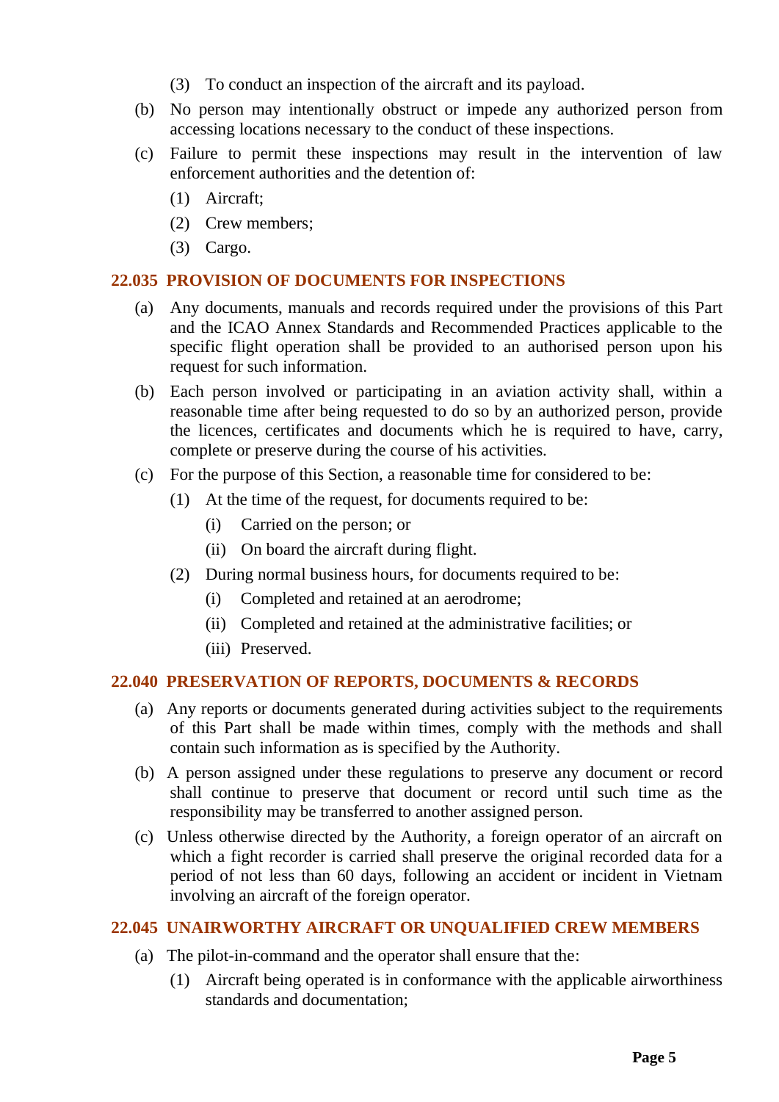- (3) To conduct an inspection of the aircraft and its payload.
- (b) No person may intentionally obstruct or impede any authorized person from accessing locations necessary to the conduct of these inspections.
- (c) Failure to permit these inspections may result in the intervention of law enforcement authorities and the detention of:
	- (1) Aircraft;
	- (2) Crew members;
	- (3) Cargo.

# <span id="page-4-0"></span>**22.035 PROVISION OF DOCUMENTS FOR INSPECTIONS**

- (a) Any documents, manuals and records required under the provisions of this Part and the ICAO Annex Standards and Recommended Practices applicable to the specific flight operation shall be provided to an authorised person upon his request for such information.
- (b) Each person involved or participating in an aviation activity shall, within a reasonable time after being requested to do so by an authorized person, provide the licences, certificates and documents which he is required to have, carry, complete or preserve during the course of his activities.
- (c) For the purpose of this Section, a reasonable time for considered to be:
	- (1) At the time of the request, for documents required to be:
		- (i) Carried on the person; or
		- (ii) On board the aircraft during flight.
	- (2) During normal business hours, for documents required to be:
		- (i) Completed and retained at an aerodrome;
		- (ii) Completed and retained at the administrative facilities; or
		- (iii) Preserved.

# <span id="page-4-1"></span>**22.040 PRESERVATION OF REPORTS, DOCUMENTS & RECORDS**

- (a) Any reports or documents generated during activities subject to the requirements of this Part shall be made within times, comply with the methods and shall contain such information as is specified by the Authority.
- (b) A person assigned under these regulations to preserve any document or record shall continue to preserve that document or record until such time as the responsibility may be transferred to another assigned person.
- (c) Unless otherwise directed by the Authority, a foreign operator of an aircraft on which a fight recorder is carried shall preserve the original recorded data for a period of not less than 60 days, following an accident or incident in Vietnam involving an aircraft of the foreign operator.

### <span id="page-4-2"></span>**22.045 UNAIRWORTHY AIRCRAFT OR UNQUALIFIED CREW MEMBERS**

- (a) The pilot-in-command and the operator shall ensure that the:
	- (1) Aircraft being operated is in conformance with the applicable airworthiness standards and documentation;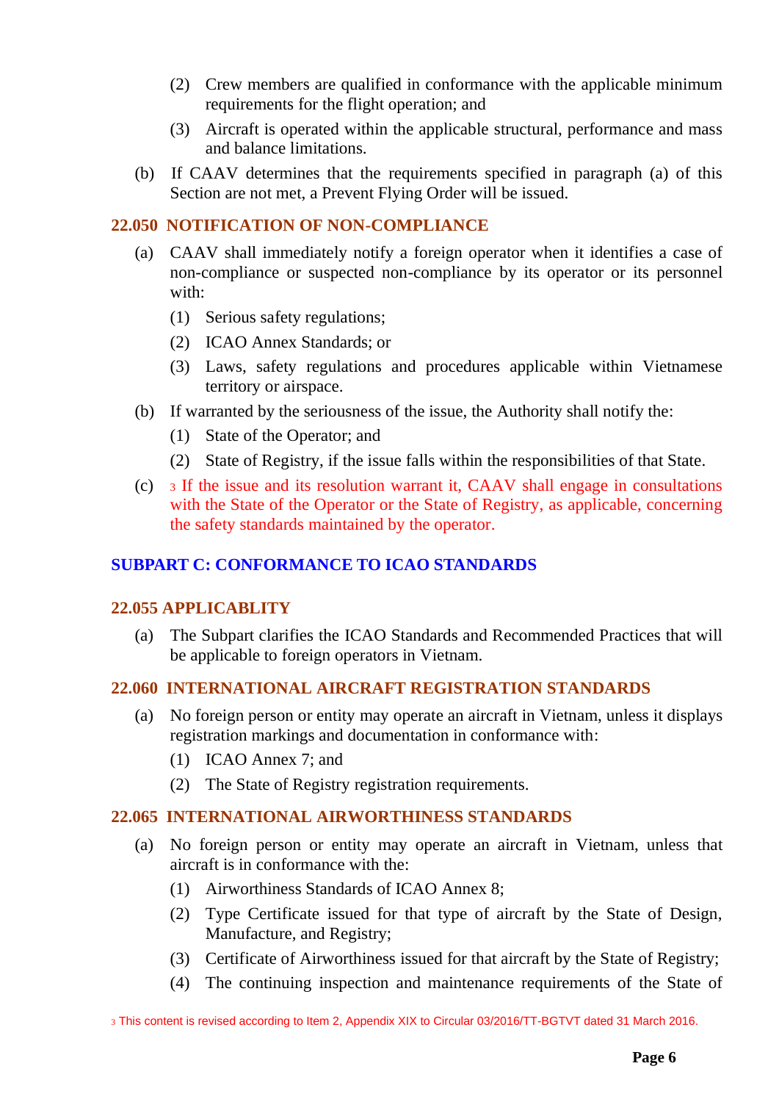- (2) Crew members are qualified in conformance with the applicable minimum requirements for the flight operation; and
- (3) Aircraft is operated within the applicable structural, performance and mass and balance limitations.
- (b) If CAAV determines that the requirements specified in paragraph (a) of this Section are not met, a Prevent Flying Order will be issued.

# <span id="page-5-0"></span>**22.050 NOTIFICATION OF NON-COMPLIANCE**

- (a) CAAV shall immediately notify a foreign operator when it identifies a case of non-compliance or suspected non-compliance by its operator or its personnel with:
	- (1) Serious safety regulations;
	- (2) ICAO Annex Standards; or
	- (3) Laws, safety regulations and procedures applicable within Vietnamese territory or airspace.
- (b) If warranted by the seriousness of the issue, the Authority shall notify the:
	- (1) State of the Operator; and
	- (2) State of Registry, if the issue falls within the responsibilities of that State.
- (c) <sup>3</sup> If the issue and its resolution warrant it, CAAV shall engage in consultations with the State of the Operator or the State of Registry, as applicable, concerning the safety standards maintained by the operator.

# <span id="page-5-1"></span>**SUBPART C: CONFORMANCE TO ICAO STANDARDS**

### <span id="page-5-2"></span>**22.055 APPLICABLITY**

(a) The Subpart clarifies the ICAO Standards and Recommended Practices that will be applicable to foreign operators in Vietnam.

# <span id="page-5-3"></span>**22.060 INTERNATIONAL AIRCRAFT REGISTRATION STANDARDS**

- (a) No foreign person or entity may operate an aircraft in Vietnam, unless it displays registration markings and documentation in conformance with:
	- (1) ICAO Annex 7; and
	- (2) The State of Registry registration requirements.

# <span id="page-5-4"></span>**22.065 INTERNATIONAL AIRWORTHINESS STANDARDS**

- (a) No foreign person or entity may operate an aircraft in Vietnam, unless that aircraft is in conformance with the:
	- (1) Airworthiness Standards of ICAO Annex 8;
	- (2) Type Certificate issued for that type of aircraft by the State of Design, Manufacture, and Registry;
	- (3) Certificate of Airworthiness issued for that aircraft by the State of Registry;
	- (4) The continuing inspection and maintenance requirements of the State of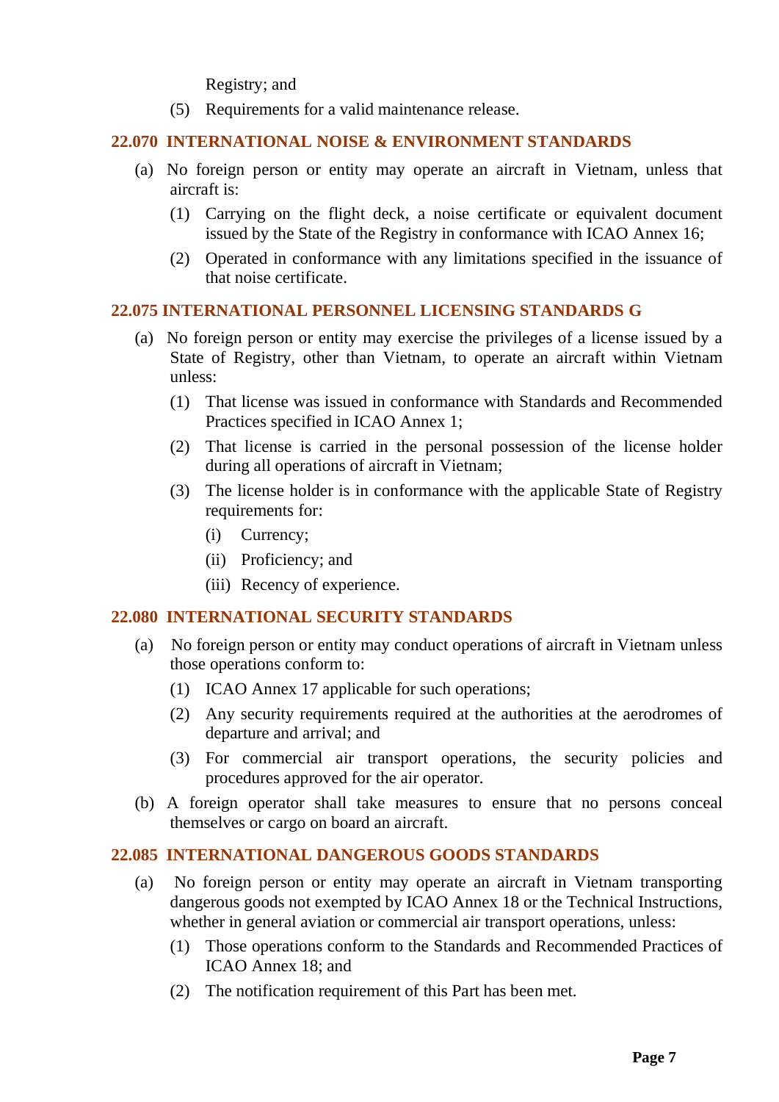Registry; and

(5) Requirements for a valid maintenance release.

# <span id="page-6-0"></span>**22.070 INTERNATIONAL NOISE & ENVIRONMENT STANDARDS**

- (a) No foreign person or entity may operate an aircraft in Vietnam, unless that aircraft is:
	- (1) Carrying on the flight deck, a noise certificate or equivalent document issued by the State of the Registry in conformance with ICAO Annex 16;
	- (2) Operated in conformance with any limitations specified in the issuance of that noise certificate.

# <span id="page-6-1"></span>**22.075 INTERNATIONAL PERSONNEL LICENSING STANDARDS G**

- (a) No foreign person or entity may exercise the privileges of a license issued by a State of Registry, other than Vietnam, to operate an aircraft within Vietnam unless:
	- (1) That license was issued in conformance with Standards and Recommended Practices specified in ICAO Annex 1;
	- (2) That license is carried in the personal possession of the license holder during all operations of aircraft in Vietnam;
	- (3) The license holder is in conformance with the applicable State of Registry requirements for:
		- (i) Currency;
		- (ii) Proficiency; and
		- (iii) Recency of experience.

### <span id="page-6-2"></span>**22.080 INTERNATIONAL SECURITY STANDARDS**

- (a) No foreign person or entity may conduct operations of aircraft in Vietnam unless those operations conform to:
	- (1) ICAO Annex 17 applicable for such operations;
	- (2) Any security requirements required at the authorities at the aerodromes of departure and arrival; and
	- (3) For commercial air transport operations, the security policies and procedures approved for the air operator.
- (b) A foreign operator shall take measures to ensure that no persons conceal themselves or cargo on board an aircraft.

### <span id="page-6-3"></span>**22.085 INTERNATIONAL DANGEROUS GOODS STANDARDS**

- (a) No foreign person or entity may operate an aircraft in Vietnam transporting dangerous goods not exempted by ICAO Annex 18 or the Technical Instructions, whether in general aviation or commercial air transport operations, unless:
	- (1) Those operations conform to the Standards and Recommended Practices of ICAO Annex 18; and
	- (2) The notification requirement of this Part has been met.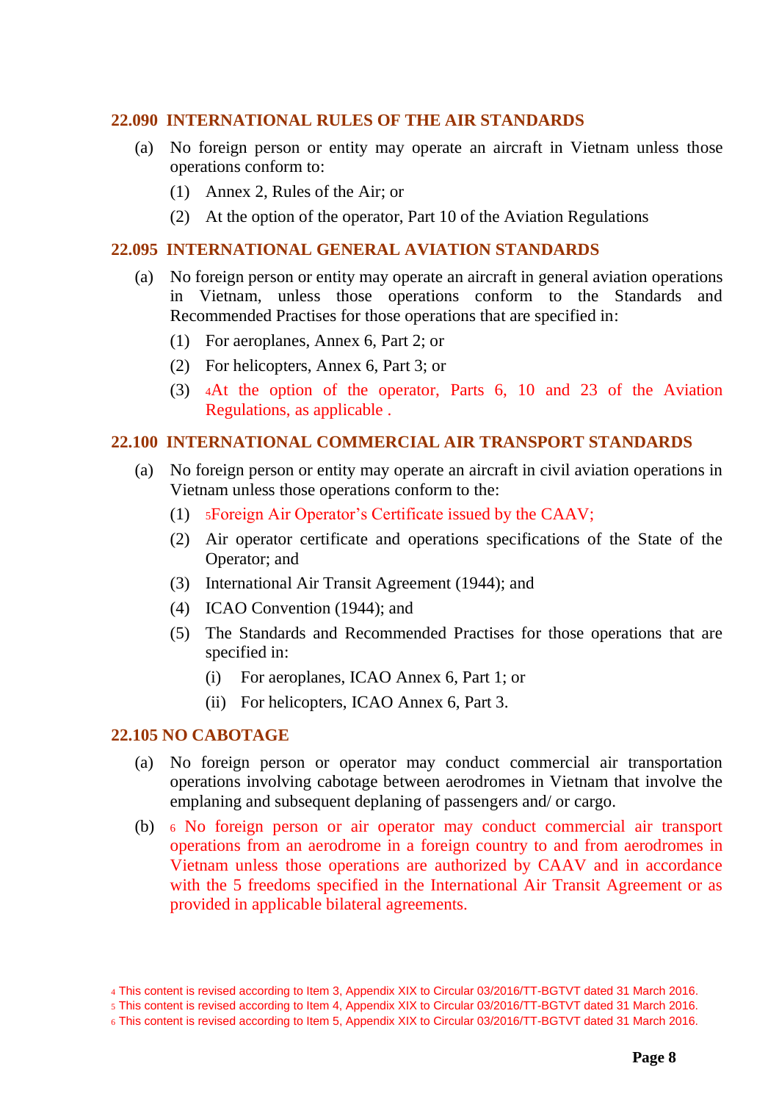### <span id="page-7-0"></span>**22.090 INTERNATIONAL RULES OF THE AIR STANDARDS**

- (a) No foreign person or entity may operate an aircraft in Vietnam unless those operations conform to:
	- (1) Annex 2, Rules of the Air; or
	- (2) At the option of the operator, Part 10 of the Aviation Regulations

#### <span id="page-7-1"></span>**22.095 INTERNATIONAL GENERAL AVIATION STANDARDS**

- (a) No foreign person or entity may operate an aircraft in general aviation operations in Vietnam, unless those operations conform to the Standards and Recommended Practises for those operations that are specified in:
	- (1) For aeroplanes, Annex 6, Part 2; or
	- (2) For helicopters, Annex 6, Part 3; or
	- (3) <sup>4</sup>At the option of the operator, Parts 6, 10 and 23 of the Aviation Regulations, as applicable .

#### <span id="page-7-2"></span>**22.100 INTERNATIONAL COMMERCIAL AIR TRANSPORT STANDARDS**

- (a) No foreign person or entity may operate an aircraft in civil aviation operations in Vietnam unless those operations conform to the:
	- (1) <sup>5</sup>Foreign Air Operator's Certificate issued by the CAAV;
	- (2) Air operator certificate and operations specifications of the State of the Operator; and
	- (3) International Air Transit Agreement (1944); and
	- (4) ICAO Convention (1944); and
	- (5) The Standards and Recommended Practises for those operations that are specified in:
		- (i) For aeroplanes, ICAO Annex 6, Part 1; or
		- (ii) For helicopters, ICAO Annex 6, Part 3.

#### <span id="page-7-3"></span>**22.105 NO CABOTAGE**

- (a) No foreign person or operator may conduct commercial air transportation operations involving cabotage between aerodromes in Vietnam that involve the emplaning and subsequent deplaning of passengers and/ or cargo.
- (b) <sup>6</sup> No foreign person or air operator may conduct commercial air transport operations from an aerodrome in a foreign country to and from aerodromes in Vietnam unless those operations are authorized by CAAV and in accordance with the 5 freedoms specified in the International Air Transit Agreement or as provided in applicable bilateral agreements.

<sup>4</sup> This content is revised according to Item 3, Appendix XIX to Circular 03/2016/TT-BGTVT dated 31 March 2016.

<sup>5</sup> This content is revised according to Item 4, Appendix XIX to Circular 03/2016/TT-BGTVT dated 31 March 2016.

<sup>6</sup> This content is revised according to Item 5, Appendix XIX to Circular 03/2016/TT-BGTVT dated 31 March 2016.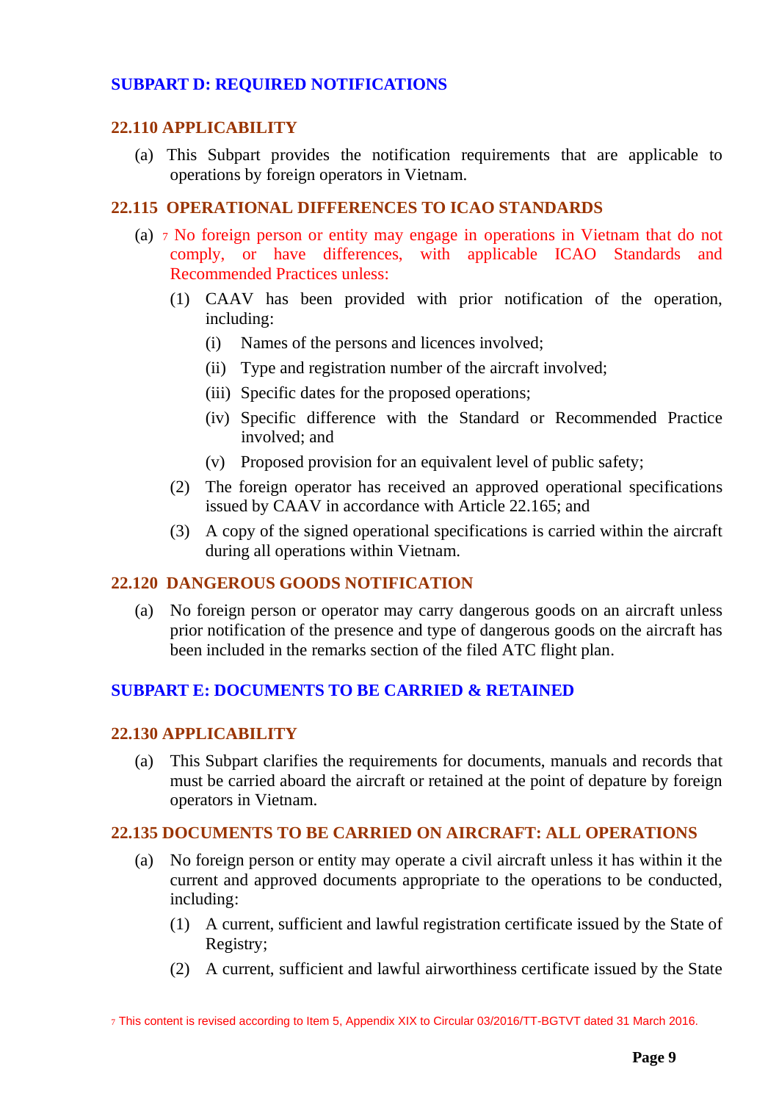# <span id="page-8-0"></span>**SUBPART D: REQUIRED NOTIFICATIONS**

### <span id="page-8-1"></span>**22.110 APPLICABILITY**

(a) This Subpart provides the notification requirements that are applicable to operations by foreign operators in Vietnam.

### <span id="page-8-2"></span>**22.115 OPERATIONAL DIFFERENCES TO ICAO STANDARDS**

- (a) <sup>7</sup> No foreign person or entity may engage in operations in Vietnam that do not comply, or have differences, with applicable ICAO Standards and Recommended Practices unless:
	- (1) CAAV has been provided with prior notification of the operation, including:
		- (i) Names of the persons and licences involved;
		- (ii) Type and registration number of the aircraft involved;
		- (iii) Specific dates for the proposed operations;
		- (iv) Specific difference with the Standard or Recommended Practice involved; and
		- (v) Proposed provision for an equivalent level of public safety;
	- (2) The foreign operator has received an approved operational specifications issued by CAAV in accordance with Article 22.165; and
	- (3) A copy of the signed operational specifications is carried within the aircraft during all operations within Vietnam.

# <span id="page-8-3"></span>**22.120 DANGEROUS GOODS NOTIFICATION**

(a) No foreign person or operator may carry dangerous goods on an aircraft unless prior notification of the presence and type of dangerous goods on the aircraft has been included in the remarks section of the filed ATC flight plan.

### <span id="page-8-4"></span>**SUBPART E: DOCUMENTS TO BE CARRIED & RETAINED**

#### <span id="page-8-5"></span>**22.130 APPLICABILITY**

(a) This Subpart clarifies the requirements for documents, manuals and records that must be carried aboard the aircraft or retained at the point of depature by foreign operators in Vietnam.

### <span id="page-8-6"></span>**22.135 DOCUMENTS TO BE CARRIED ON AIRCRAFT: ALL OPERATIONS**

- (a) No foreign person or entity may operate a civil aircraft unless it has within it the current and approved documents appropriate to the operations to be conducted, including:
	- (1) A current, sufficient and lawful registration certificate issued by the State of Registry;
	- (2) A current, sufficient and lawful airworthiness certificate issued by the State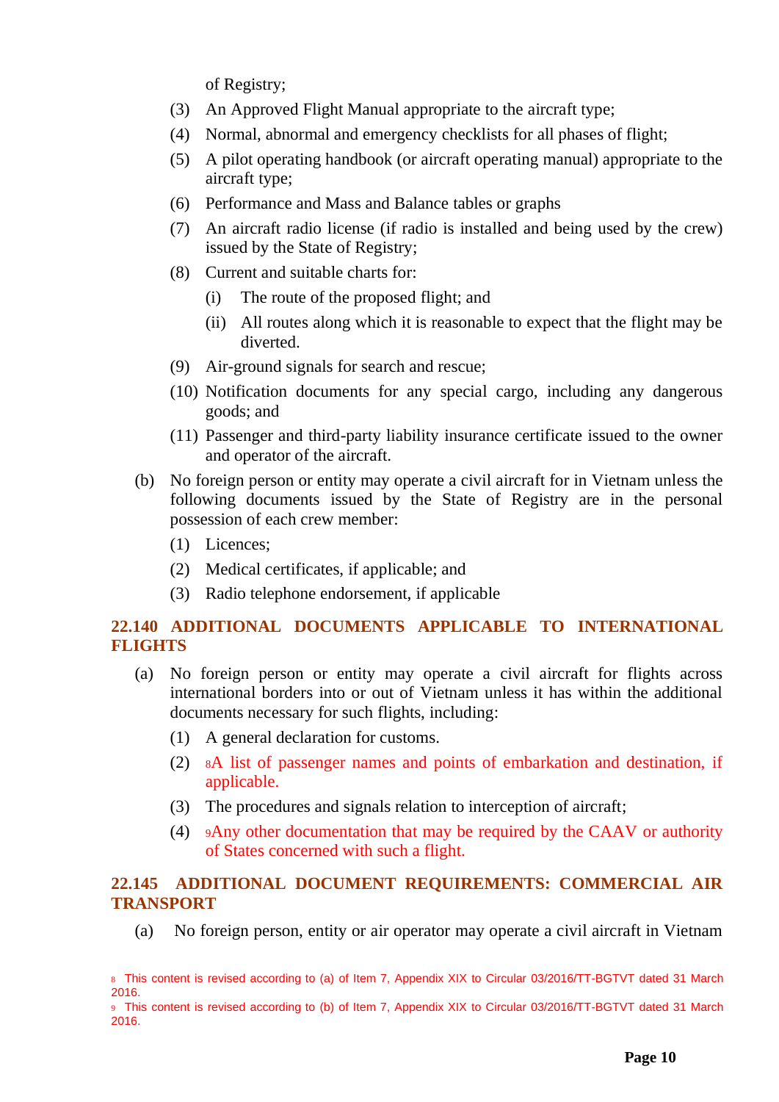of Registry;

- (3) An Approved Flight Manual appropriate to the aircraft type;
- (4) Normal, abnormal and emergency checklists for all phases of flight;
- (5) A pilot operating handbook (or aircraft operating manual) appropriate to the aircraft type;
- (6) Performance and Mass and Balance tables or graphs
- (7) An aircraft radio license (if radio is installed and being used by the crew) issued by the State of Registry;
- (8) Current and suitable charts for:
	- (i) The route of the proposed flight; and
	- (ii) All routes along which it is reasonable to expect that the flight may be diverted.
- (9) Air-ground signals for search and rescue;
- (10) Notification documents for any special cargo, including any dangerous goods; and
- (11) Passenger and third-party liability insurance certificate issued to the owner and operator of the aircraft.
- (b) No foreign person or entity may operate a civil aircraft for in Vietnam unless the following documents issued by the State of Registry are in the personal possession of each crew member:
	- (1) Licences;
	- (2) Medical certificates, if applicable; and
	- (3) Radio telephone endorsement, if applicable

# <span id="page-9-0"></span>**22.140 ADDITIONAL DOCUMENTS APPLICABLE TO INTERNATIONAL FLIGHTS**

- (a) No foreign person or entity may operate a civil aircraft for flights across international borders into or out of Vietnam unless it has within the additional documents necessary for such flights, including:
	- (1) A general declaration for customs.
	- (2) <sup>8</sup>A list of passenger names and points of embarkation and destination, if applicable.
	- (3) The procedures and signals relation to interception of aircraft;
	- (4) <sup>9</sup>Any other documentation that may be required by the CAAV or authority of States concerned with such a flight.

# <span id="page-9-1"></span>**22.145 ADDITIONAL DOCUMENT REQUIREMENTS: COMMERCIAL AIR TRANSPORT**

(a) No foreign person, entity or air operator may operate a civil aircraft in Vietnam

<sup>8</sup> This content is revised according to (a) of Item 7, Appendix XIX to Circular 03/2016/TT-BGTVT dated 31 March 2016.

<sup>9</sup> This content is revised according to (b) of Item 7, Appendix XIX to Circular 03/2016/TT-BGTVT dated 31 March 2016.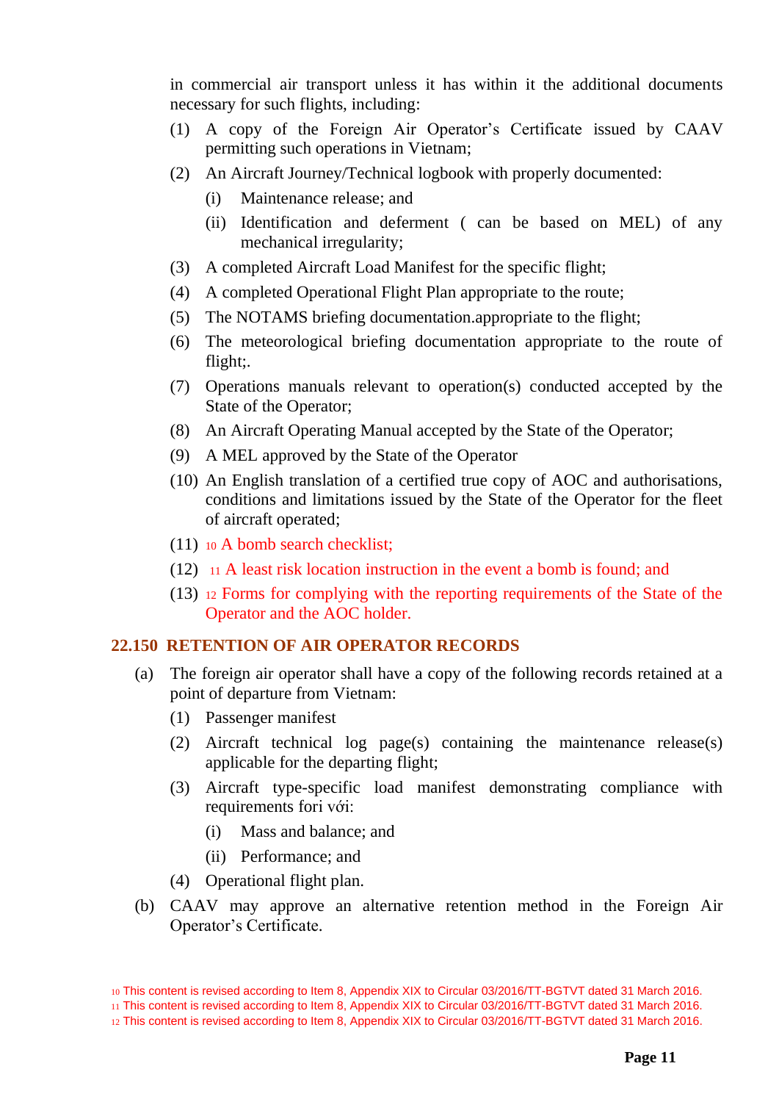in commercial air transport unless it has within it the additional documents necessary for such flights, including:

- (1) A copy of the Foreign Air Operator's Certificate issued by CAAV permitting such operations in Vietnam;
- (2) An Aircraft Journey/Technical logbook with properly documented:
	- (i) Maintenance release; and
	- (ii) Identification and deferment ( can be based on MEL) of any mechanical irregularity;
- (3) A completed Aircraft Load Manifest for the specific flight;
- (4) A completed Operational Flight Plan appropriate to the route;
- (5) The NOTAMS briefing documentation.appropriate to the flight;
- (6) The meteorological briefing documentation appropriate to the route of flight;.
- (7) Operations manuals relevant to operation(s) conducted accepted by the State of the Operator;
- (8) An Aircraft Operating Manual accepted by the State of the Operator;
- (9) A MEL approved by the State of the Operator
- (10) An English translation of a certified true copy of AOC and authorisations, conditions and limitations issued by the State of the Operator for the fleet of aircraft operated;
- (11) <sup>10</sup> A bomb search checklist;
- $(12)$  11 A least risk location instruction in the event a bomb is found; and
- (13) <sup>12</sup> Forms for complying with the reporting requirements of the State of the Operator and the AOC holder.

# <span id="page-10-0"></span>**22.150 RETENTION OF AIR OPERATOR RECORDS**

- (a) The foreign air operator shall have a copy of the following records retained at a point of departure from Vietnam:
	- (1) Passenger manifest
	- (2) Aircraft technical log page(s) containing the maintenance release(s) applicable for the departing flight;
	- (3) Aircraft type-specific load manifest demonstrating compliance with requirements fori với:
		- (i) Mass and balance; and
		- (ii) Performance; and
	- (4) Operational flight plan.
- (b) CAAV may approve an alternative retention method in the Foreign Air Operator's Certificate.

10 This content is revised according to Item 8, Appendix XIX to Circular 03/2016/TT-BGTVT dated 31 March 2016. 11 This content is revised according to Item 8, Appendix XIX to Circular 03/2016/TT-BGTVT dated 31 March 2016.

<sup>12</sup> This content is revised according to Item 8, Appendix XIX to Circular 03/2016/TT-BGTVT dated 31 March 2016.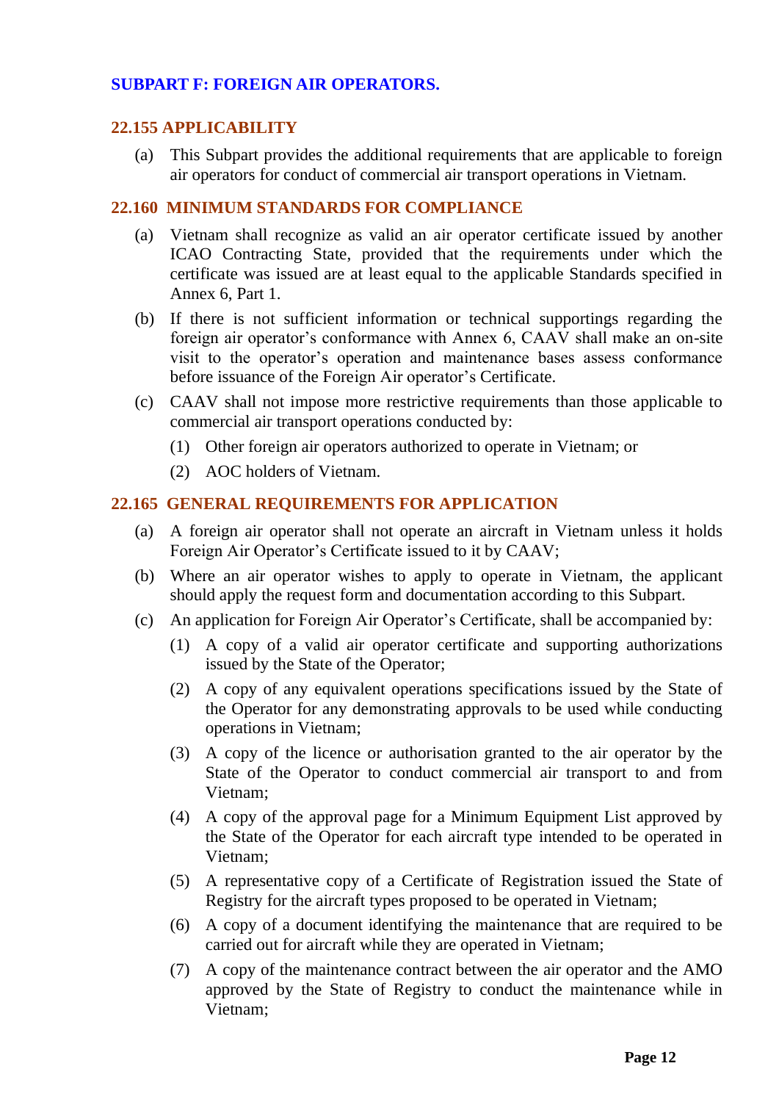# <span id="page-11-0"></span>**SUBPART F: FOREIGN AIR OPERATORS.**

# <span id="page-11-1"></span>**22.155 APPLICABILITY**

(a) This Subpart provides the additional requirements that are applicable to foreign air operators for conduct of commercial air transport operations in Vietnam.

# <span id="page-11-2"></span>**22.160 MINIMUM STANDARDS FOR COMPLIANCE**

- (a) Vietnam shall recognize as valid an air operator certificate issued by another ICAO Contracting State, provided that the requirements under which the certificate was issued are at least equal to the applicable Standards specified in Annex 6, Part 1.
- (b) If there is not sufficient information or technical supportings regarding the foreign air operator's conformance with Annex 6, CAAV shall make an on-site visit to the operator's operation and maintenance bases assess conformance before issuance of the Foreign Air operator's Certificate.
- (c) CAAV shall not impose more restrictive requirements than those applicable to commercial air transport operations conducted by:
	- (1) Other foreign air operators authorized to operate in Vietnam; or
	- (2) AOC holders of Vietnam.

# <span id="page-11-3"></span>**22.165 GENERAL REQUIREMENTS FOR APPLICATION**

- (a) A foreign air operator shall not operate an aircraft in Vietnam unless it holds Foreign Air Operator's Certificate issued to it by CAAV;
- (b) Where an air operator wishes to apply to operate in Vietnam, the applicant should apply the request form and documentation according to this Subpart.
- (c) An application for Foreign Air Operator's Certificate, shall be accompanied by:
	- (1) A copy of a valid air operator certificate and supporting authorizations issued by the State of the Operator;
	- (2) A copy of any equivalent operations specifications issued by the State of the Operator for any demonstrating approvals to be used while conducting operations in Vietnam;
	- (3) A copy of the licence or authorisation granted to the air operator by the State of the Operator to conduct commercial air transport to and from Vietnam;
	- (4) A copy of the approval page for a Minimum Equipment List approved by the State of the Operator for each aircraft type intended to be operated in Vietnam;
	- (5) A representative copy of a Certificate of Registration issued the State of Registry for the aircraft types proposed to be operated in Vietnam;
	- (6) A copy of a document identifying the maintenance that are required to be carried out for aircraft while they are operated in Vietnam;
	- (7) A copy of the maintenance contract between the air operator and the AMO approved by the State of Registry to conduct the maintenance while in Vietnam;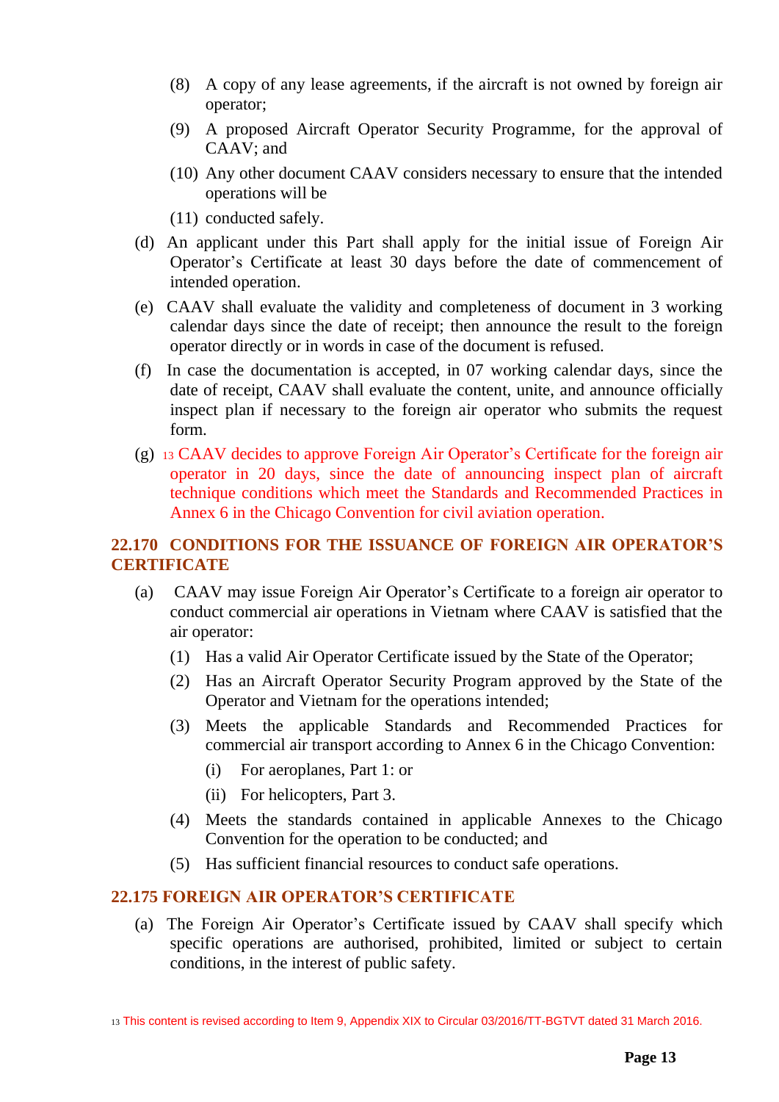- (8) A copy of any lease agreements, if the aircraft is not owned by foreign air operator;
- (9) A proposed Aircraft Operator Security Programme, for the approval of CAAV; and
- (10) Any other document CAAV considers necessary to ensure that the intended operations will be
- (11) conducted safely.
- (d) An applicant under this Part shall apply for the initial issue of Foreign Air Operator's Certificate at least 30 days before the date of commencement of intended operation.
- (e) CAAV shall evaluate the validity and completeness of document in 3 working calendar days since the date of receipt; then announce the result to the foreign operator directly or in words in case of the document is refused.
- (f) In case the documentation is accepted, in 07 working calendar days, since the date of receipt, CAAV shall evaluate the content, unite, and announce officially inspect plan if necessary to the foreign air operator who submits the request form.
- (g) <sup>13</sup> CAAV decides to approve Foreign Air Operator's Certificate for the foreign air operator in 20 days, since the date of announcing inspect plan of aircraft technique conditions which meet the Standards and Recommended Practices in Annex 6 in the Chicago Convention for civil aviation operation.

# <span id="page-12-0"></span>**22.170 CONDITIONS FOR THE ISSUANCE OF FOREIGN AIR OPERATOR'S CERTIFICATE**

- (a) CAAV may issue Foreign Air Operator's Certificate to a foreign air operator to conduct commercial air operations in Vietnam where CAAV is satisfied that the air operator:
	- (1) Has a valid Air Operator Certificate issued by the State of the Operator;
	- (2) Has an Aircraft Operator Security Program approved by the State of the Operator and Vietnam for the operations intended;
	- (3) Meets the applicable Standards and Recommended Practices for commercial air transport according to Annex 6 in the Chicago Convention:
		- (i) For aeroplanes, Part 1: or
		- (ii) For helicopters, Part 3.
	- (4) Meets the standards contained in applicable Annexes to the Chicago Convention for the operation to be conducted; and
	- (5) Has sufficient financial resources to conduct safe operations.

# <span id="page-12-1"></span>**22.175 FOREIGN AIR OPERATOR'S CERTIFICATE**

(a) The Foreign Air Operator's Certificate issued by CAAV shall specify which specific operations are authorised, prohibited, limited or subject to certain conditions, in the interest of public safety.

<sup>13</sup> This content is revised according to Item 9, Appendix XIX to Circular 03/2016/TT-BGTVT dated 31 March 2016.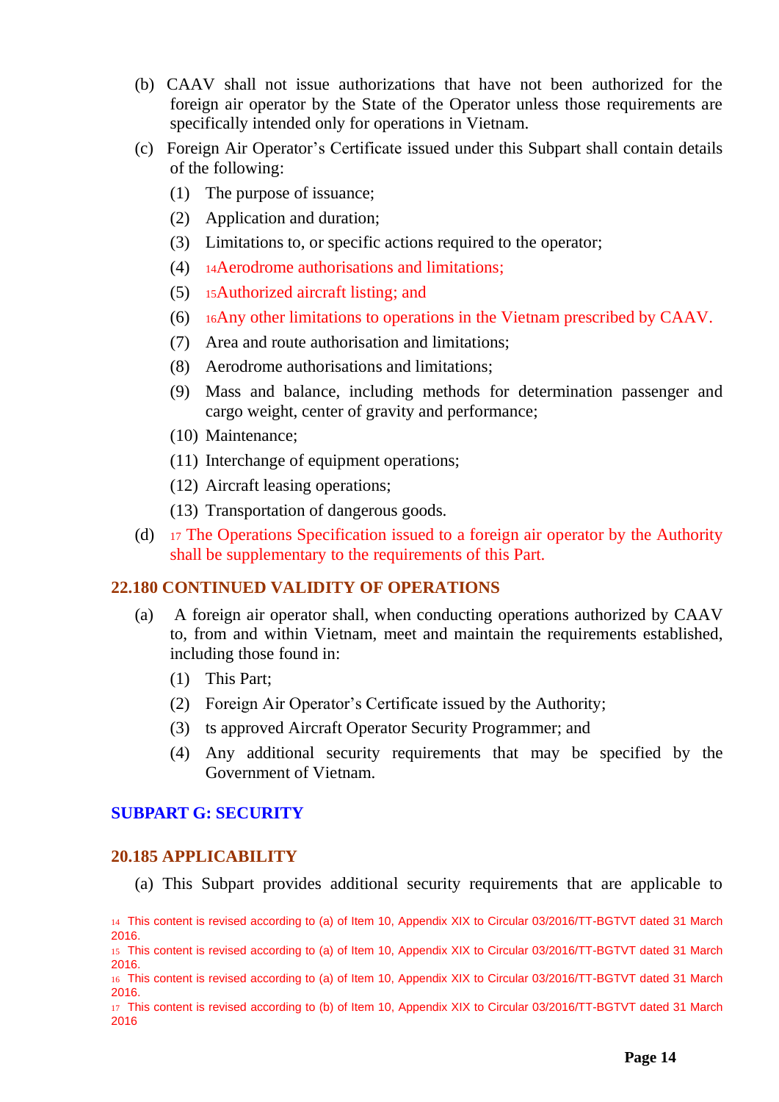- (b) CAAV shall not issue authorizations that have not been authorized for the foreign air operator by the State of the Operator unless those requirements are specifically intended only for operations in Vietnam.
- (c) Foreign Air Operator's Certificate issued under this Subpart shall contain details of the following:
	- (1) The purpose of issuance;
	- (2) Application and duration;
	- (3) Limitations to, or specific actions required to the operator;
	- (4) <sup>14</sup>Aerodrome authorisations and limitations;
	- (5) <sup>15</sup>Authorized aircraft listing; and
	- (6) <sup>16</sup>Any other limitations to operations in the Vietnam prescribed by CAAV.
	- (7) Area and route authorisation and limitations;
	- (8) Aerodrome authorisations and limitations;
	- (9) Mass and balance, including methods for determination passenger and cargo weight, center of gravity and performance;
	- (10) Maintenance;
	- (11) Interchange of equipment operations;
	- (12) Aircraft leasing operations;
	- (13) Transportation of dangerous goods.
- (d) <sup>17</sup> The Operations Specification issued to a foreign air operator by the Authority shall be supplementary to the requirements of this Part.

### <span id="page-13-0"></span>**22.180 CONTINUED VALIDITY OF OPERATIONS**

- (a) A foreign air operator shall, when conducting operations authorized by CAAV to, from and within Vietnam, meet and maintain the requirements established, including those found in:
	- (1) This Part;
	- (2) Foreign Air Operator's Certificate issued by the Authority;
	- (3) ts approved Aircraft Operator Security Programmer; and
	- (4) Any additional security requirements that may be specified by the Government of Vietnam.

# <span id="page-13-1"></span>**SUBPART G: SECURITY**

### <span id="page-13-2"></span>**20.185 APPLICABILITY**

(a) This Subpart provides additional security requirements that are applicable to

<sup>14</sup> This content is revised according to (a) of Item 10, Appendix XIX to Circular 03/2016/TT-BGTVT dated 31 March 2016.

<sup>15</sup> This content is revised according to (a) of Item 10, Appendix XIX to Circular 03/2016/TT-BGTVT dated 31 March 2016.

<sup>16</sup> This content is revised according to (a) of Item 10, Appendix XIX to Circular 03/2016/TT-BGTVT dated 31 March 2016.

<sup>17</sup> This content is revised according to (b) of Item 10, Appendix XIX to Circular 03/2016/TT-BGTVT dated 31 March 2016